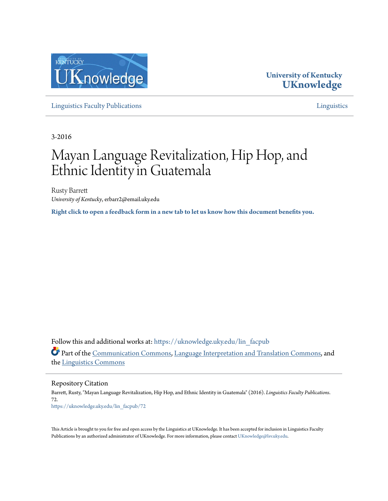

**University of Kentucky [UKnowledge](https://uknowledge.uky.edu?utm_source=uknowledge.uky.edu%2Flin_facpub%2F72&utm_medium=PDF&utm_campaign=PDFCoverPages)**

[Linguistics Faculty Publications](https://uknowledge.uky.edu/lin_facpub?utm_source=uknowledge.uky.edu%2Flin_facpub%2F72&utm_medium=PDF&utm_campaign=PDFCoverPages) [Linguistics](https://uknowledge.uky.edu/lin?utm_source=uknowledge.uky.edu%2Flin_facpub%2F72&utm_medium=PDF&utm_campaign=PDFCoverPages)

3-2016

# Mayan Language Revitalization, Hip Hop, and Ethnic Identity in Guatemala

Rusty Barrett *University of Kentucky*, erbarr2@email.uky.edu

**[Right click to open a feedback form in a new tab to let us know how this document benefits you.](https://uky.az1.qualtrics.com/jfe/form/SV_9mq8fx2GnONRfz7)**

Follow this and additional works at: [https://uknowledge.uky.edu/lin\\_facpub](https://uknowledge.uky.edu/lin_facpub?utm_source=uknowledge.uky.edu%2Flin_facpub%2F72&utm_medium=PDF&utm_campaign=PDFCoverPages) Part of the [Communication Commons](http://network.bepress.com/hgg/discipline/325?utm_source=uknowledge.uky.edu%2Flin_facpub%2F72&utm_medium=PDF&utm_campaign=PDFCoverPages), [Language Interpretation and Translation Commons](http://network.bepress.com/hgg/discipline/1391?utm_source=uknowledge.uky.edu%2Flin_facpub%2F72&utm_medium=PDF&utm_campaign=PDFCoverPages), and the [Linguistics Commons](http://network.bepress.com/hgg/discipline/371?utm_source=uknowledge.uky.edu%2Flin_facpub%2F72&utm_medium=PDF&utm_campaign=PDFCoverPages)

Repository Citation

Barrett, Rusty, "Mayan Language Revitalization, Hip Hop, and Ethnic Identity in Guatemala" (2016). *Linguistics Faculty Publications*. 72. [https://uknowledge.uky.edu/lin\\_facpub/72](https://uknowledge.uky.edu/lin_facpub/72?utm_source=uknowledge.uky.edu%2Flin_facpub%2F72&utm_medium=PDF&utm_campaign=PDFCoverPages)

This Article is brought to you for free and open access by the Linguistics at UKnowledge. It has been accepted for inclusion in Linguistics Faculty Publications by an authorized administrator of UKnowledge. For more information, please contact [UKnowledge@lsv.uky.edu.](mailto:UKnowledge@lsv.uky.edu)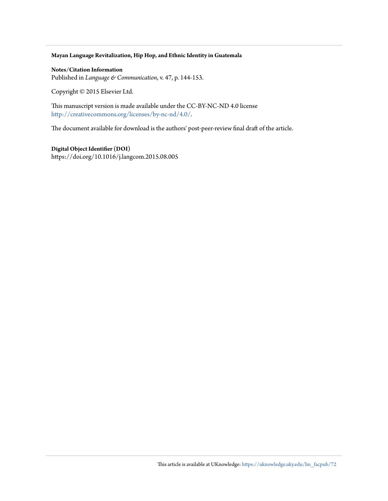#### **Mayan Language Revitalization, Hip Hop, and Ethnic Identity in Guatemala**

**Notes/Citation Information** Published in *Language & Communication*, v. 47, p. 144-153.

Copyright © 2015 Elsevier Ltd.

This manuscript version is made available under the CC-BY-NC-ND 4.0 license [http://creativecommons.org/licenses/by-nc-nd/4.0/](https://creativecommons.org/licenses/by-nc-nd/4.0/).

The document available for download is the authors' post-peer-review final draft of the article.

**Digital Object Identifier (DOI)** https://doi.org/10.1016/j.langcom.2015.08.005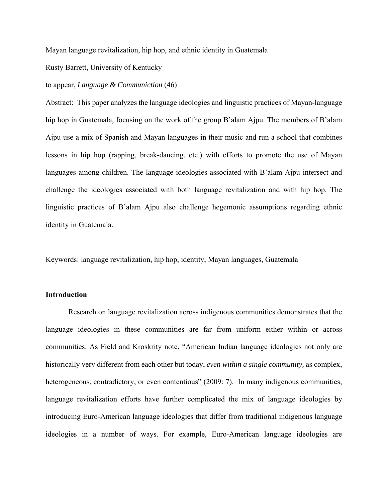Mayan language revitalization, hip hop, and ethnic identity in Guatemala

Rusty Barrett, University of Kentucky

#### to appear, *Language & Communiction* (46)

Abstract: This paper analyzes the language ideologies and linguistic practices of Mayan-language hip hop in Guatemala, focusing on the work of the group B'alam Ajpu. The members of B'alam Ajpu use a mix of Spanish and Mayan languages in their music and run a school that combines lessons in hip hop (rapping, break-dancing, etc.) with efforts to promote the use of Mayan languages among children. The language ideologies associated with B'alam Ajpu intersect and challenge the ideologies associated with both language revitalization and with hip hop. The linguistic practices of B'alam Ajpu also challenge hegemonic assumptions regarding ethnic identity in Guatemala.

Keywords: language revitalization, hip hop, identity, Mayan languages, Guatemala

### **Introduction**

 Research on language revitalization across indigenous communities demonstrates that the language ideologies in these communities are far from uniform either within or across communities. As Field and Kroskrity note, "American Indian language ideologies not only are historically very different from each other but today, *even within a single community,* as complex, heterogeneous, contradictory, or even contentious" (2009: 7). In many indigenous communities, language revitalization efforts have further complicated the mix of language ideologies by introducing Euro-American language ideologies that differ from traditional indigenous language ideologies in a number of ways. For example, Euro-American language ideologies are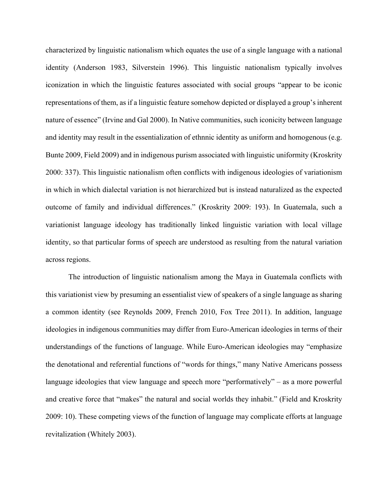characterized by linguistic nationalism which equates the use of a single language with a national identity (Anderson 1983, Silverstein 1996). This linguistic nationalism typically involves iconization in which the linguistic features associated with social groups "appear to be iconic representations of them, as if a linguistic feature somehow depicted or displayed a group's inherent nature of essence" (Irvine and Gal 2000). In Native communities, such iconicity between language and identity may result in the essentialization of ethnnic identity as uniform and homogenous (e.g. Bunte 2009, Field 2009) and in indigenous purism associated with linguistic uniformity (Kroskrity 2000: 337). This linguistic nationalism often conflicts with indigenous ideologies of variationism in which in which dialectal variation is not hierarchized but is instead naturalized as the expected outcome of family and individual differences." (Kroskrity 2009: 193). In Guatemala, such a variationist language ideology has traditionally linked linguistic variation with local village identity, so that particular forms of speech are understood as resulting from the natural variation across regions.

The introduction of linguistic nationalism among the Maya in Guatemala conflicts with this variationist view by presuming an essentialist view of speakers of a single language as sharing a common identity (see Reynolds 2009, French 2010, Fox Tree 2011). In addition, language ideologies in indigenous communities may differ from Euro-American ideologies in terms of their understandings of the functions of language. While Euro-American ideologies may "emphasize the denotational and referential functions of "words for things," many Native Americans possess language ideologies that view language and speech more "performatively" – as a more powerful and creative force that "makes" the natural and social worlds they inhabit." (Field and Kroskrity 2009: 10). These competing views of the function of language may complicate efforts at language revitalization (Whitely 2003).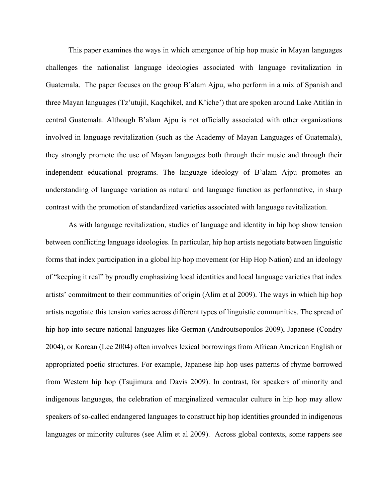This paper examines the ways in which emergence of hip hop music in Mayan languages challenges the nationalist language ideologies associated with language revitalization in Guatemala. The paper focuses on the group B'alam Ajpu, who perform in a mix of Spanish and three Mayan languages (Tz'utujil, Kaqchikel, and K'iche') that are spoken around Lake Atitlán in central Guatemala. Although B'alam Ajpu is not officially associated with other organizations involved in language revitalization (such as the Academy of Mayan Languages of Guatemala), they strongly promote the use of Mayan languages both through their music and through their independent educational programs. The language ideology of B'alam Ajpu promotes an understanding of language variation as natural and language function as performative, in sharp contrast with the promotion of standardized varieties associated with language revitalization.

As with language revitalization, studies of language and identity in hip hop show tension between conflicting language ideologies. In particular, hip hop artists negotiate between linguistic forms that index participation in a global hip hop movement (or Hip Hop Nation) and an ideology of "keeping it real" by proudly emphasizing local identities and local language varieties that index artists' commitment to their communities of origin (Alim et al 2009). The ways in which hip hop artists negotiate this tension varies across different types of linguistic communities. The spread of hip hop into secure national languages like German (Androutsopoulos 2009), Japanese (Condry 2004), or Korean (Lee 2004) often involves lexical borrowings from African American English or appropriated poetic structures. For example, Japanese hip hop uses patterns of rhyme borrowed from Western hip hop (Tsujimura and Davis 2009). In contrast, for speakers of minority and indigenous languages, the celebration of marginalized vernacular culture in hip hop may allow speakers of so-called endangered languages to construct hip hop identities grounded in indigenous languages or minority cultures (see Alim et al 2009). Across global contexts, some rappers see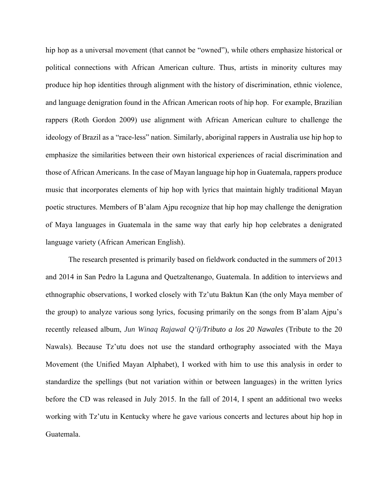hip hop as a universal movement (that cannot be "owned"), while others emphasize historical or political connections with African American culture. Thus, artists in minority cultures may produce hip hop identities through alignment with the history of discrimination, ethnic violence, and language denigration found in the African American roots of hip hop. For example, Brazilian rappers (Roth Gordon 2009) use alignment with African American culture to challenge the ideology of Brazil as a "race-less" nation. Similarly, aboriginal rappers in Australia use hip hop to emphasize the similarities between their own historical experiences of racial discrimination and those of African Americans. In the case of Mayan language hip hop in Guatemala, rappers produce music that incorporates elements of hip hop with lyrics that maintain highly traditional Mayan poetic structures. Members of B'alam Ajpu recognize that hip hop may challenge the denigration of Maya languages in Guatemala in the same way that early hip hop celebrates a denigrated language variety (African American English).

The research presented is primarily based on fieldwork conducted in the summers of 2013 and 2014 in San Pedro la Laguna and Quetzaltenango, Guatemala. In addition to interviews and ethnographic observations, I worked closely with Tz'utu Baktun Kan (the only Maya member of the group) to analyze various song lyrics, focusing primarily on the songs from B'alam Ajpu's recently released album, *Jun Winaq Rajawal Q'íj/Tributo a los 20 Nawales* (Tribute to the 20 Nawals). Because Tz'utu does not use the standard orthography associated with the Maya Movement (the Unified Mayan Alphabet), I worked with him to use this analysis in order to standardize the spellings (but not variation within or between languages) in the written lyrics before the CD was released in July 2015. In the fall of 2014, I spent an additional two weeks working with Tz'utu in Kentucky where he gave various concerts and lectures about hip hop in Guatemala.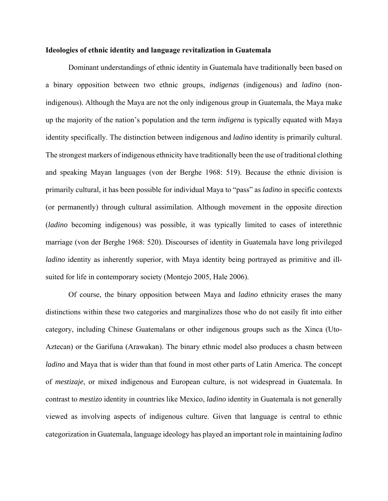#### **Ideologies of ethnic identity and language revitalization in Guatemala**

 Dominant understandings of ethnic identity in Guatemala have traditionally been based on a binary opposition between two ethnic groups, *indigenas* (indigenous) and *ladino* (nonindigenous). Although the Maya are not the only indigenous group in Guatemala, the Maya make up the majority of the nation's population and the term *indigena* is typically equated with Maya identity specifically. The distinction between indigenous and *ladino* identity is primarily cultural. The strongest markers of indigenous ethnicity have traditionally been the use of traditional clothing and speaking Mayan languages (von der Berghe 1968: 519). Because the ethnic division is primarily cultural, it has been possible for individual Maya to "pass" as *ladino* in specific contexts (or permanently) through cultural assimilation. Although movement in the opposite direction (*ladino* becoming indigenous) was possible, it was typically limited to cases of interethnic marriage (von der Berghe 1968: 520). Discourses of identity in Guatemala have long privileged *ladino* identity as inherently superior, with Maya identity being portrayed as primitive and illsuited for life in contemporary society (Montejo 2005, Hale 2006).

Of course, the binary opposition between Maya and *ladino* ethnicity erases the many distinctions within these two categories and marginalizes those who do not easily fit into either category, including Chinese Guatemalans or other indigenous groups such as the Xinca (Uto-Aztecan) or the Garifuna (Arawakan). The binary ethnic model also produces a chasm between *ladino* and Maya that is wider than that found in most other parts of Latin America. The concept of *mestizaje*, or mixed indigenous and European culture, is not widespread in Guatemala. In contrast to *mestizo* identity in countries like Mexico, *ladino* identity in Guatemala is not generally viewed as involving aspects of indigenous culture. Given that language is central to ethnic categorization in Guatemala, language ideology has played an important role in maintaining *ladino*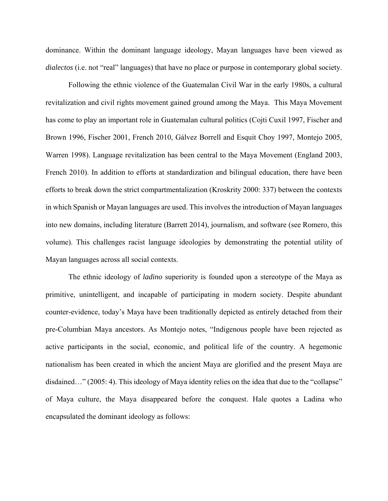dominance. Within the dominant language ideology, Mayan languages have been viewed as *dialectos* (i.e. not "real" languages) that have no place or purpose in contemporary global society.

 Following the ethnic violence of the Guatemalan Civil War in the early 1980s, a cultural revitalization and civil rights movement gained ground among the Maya. This Maya Movement has come to play an important role in Guatemalan cultural politics (Cojti Cuxil 1997, Fischer and Brown 1996, Fischer 2001, French 2010, Gálvez Borrell and Esquit Choy 1997, Montejo 2005, Warren 1998). Language revitalization has been central to the Maya Movement (England 2003, French 2010). In addition to efforts at standardization and bilingual education, there have been efforts to break down the strict compartmentalization (Kroskrity 2000: 337) between the contexts in which Spanish or Mayan languages are used. This involves the introduction of Mayan languages into new domains, including literature (Barrett 2014), journalism, and software (see Romero, this volume). This challenges racist language ideologies by demonstrating the potential utility of Mayan languages across all social contexts.

The ethnic ideology of *ladino* superiority is founded upon a stereotype of the Maya as primitive, unintelligent, and incapable of participating in modern society. Despite abundant counter-evidence, today's Maya have been traditionally depicted as entirely detached from their pre-Columbian Maya ancestors. As Montejo notes, "Indigenous people have been rejected as active participants in the social, economic, and political life of the country. A hegemonic nationalism has been created in which the ancient Maya are glorified and the present Maya are disdained…" (2005: 4). This ideology of Maya identity relies on the idea that due to the "collapse" of Maya culture, the Maya disappeared before the conquest. Hale quotes a Ladina who encapsulated the dominant ideology as follows: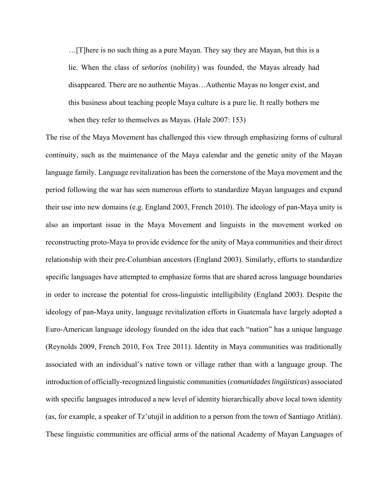…[T]here is no such thing as a pure Mayan. They say they are Mayan, but this is a lie. When the class of *señoríos* (nobility) was founded, the Mayas already had disappeared. There are no authentic Mayas…Authentic Mayas no longer exist, and this business about teaching people Maya culture is a pure lie. It really bothers me when they refer to themselves as Mayas. (Hale 2007: 153)

The rise of the Maya Movement has challenged this view through emphasizing forms of cultural continuity, such as the maintenance of the Maya calendar and the genetic unity of the Mayan language family. Language revitalization has been the cornerstone of the Maya movement and the period following the war has seen numerous efforts to standardize Mayan languages and expand their use into new domains (e.g. England 2003, French 2010). The ideology of pan-Maya unity is also an important issue in the Maya Movement and linguists in the movement worked on reconstructing proto-Maya to provide evidence for the unity of Maya communities and their direct relationship with their pre-Columbian ancestors (England 2003). Similarly, efforts to standardize specific languages have attempted to emphasize forms that are shared across language boundaries in order to increase the potential for cross-linguistic intelligibility (England 2003). Despite the ideology of pan-Maya unity, language revitalization efforts in Guatemala have largely adopted a Euro-American language ideology founded on the idea that each "nation" has a unique language (Reynolds 2009, French 2010, Fox Tree 2011). Identity in Maya communities was traditionally associated with an individual's native town or village rather than with a language group. The introduction of officially-recognized linguistic communities (*comunidades lingüisticas*) associated with specific languages introduced a new level of identity hierarchically above local town identity (as, for example, a speaker of Tz'utujil in addition to a person from the town of Santiago Atitlán). These linguistic communities are official arms of the national Academy of Mayan Languages of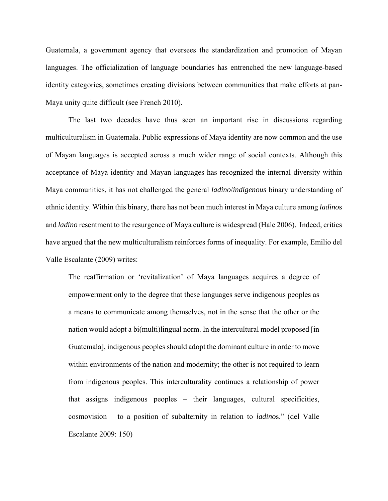Guatemala, a government agency that oversees the standardization and promotion of Mayan languages. The officialization of language boundaries has entrenched the new language-based identity categories, sometimes creating divisions between communities that make efforts at pan-Maya unity quite difficult (see French 2010).

 The last two decades have thus seen an important rise in discussions regarding multiculturalism in Guatemala. Public expressions of Maya identity are now common and the use of Mayan languages is accepted across a much wider range of social contexts. Although this acceptance of Maya identity and Mayan languages has recognized the internal diversity within Maya communities, it has not challenged the general *ladino*/*indigenous* binary understanding of ethnic identity. Within this binary, there has not been much interest in Maya culture among *ladino*s and *ladino* resentment to the resurgence of Maya culture is widespread (Hale 2006). Indeed, critics have argued that the new multiculturalism reinforces forms of inequality. For example, Emilio del Valle Escalante (2009) writes:

The reaffirmation or 'revitalization' of Maya languages acquires a degree of empowerment only to the degree that these languages serve indigenous peoples as a means to communicate among themselves, not in the sense that the other or the nation would adopt a bi(multi)lingual norm. In the intercultural model proposed [in Guatemala], indigenous peoples should adopt the dominant culture in order to move within environments of the nation and modernity; the other is not required to learn from indigenous peoples. This interculturality continues a relationship of power that assigns indigenous peoples – their languages, cultural specificities, cosmovision – to a position of subalternity in relation to *ladino*s." (del Valle Escalante 2009: 150)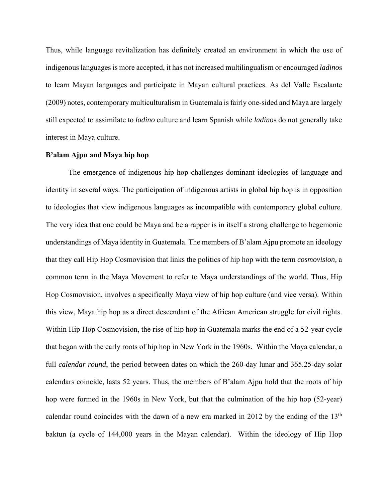Thus, while language revitalization has definitely created an environment in which the use of indigenous languages is more accepted, it has not increased multilingualism or encouraged *ladino*s to learn Mayan languages and participate in Mayan cultural practices. As del Valle Escalante (2009) notes, contemporary multiculturalism in Guatemala is fairly one-sided and Maya are largely still expected to assimilate to *ladino* culture and learn Spanish while *ladino*s do not generally take interest in Maya culture.

## **B'alam Ajpu and Maya hip hop**

The emergence of indigenous hip hop challenges dominant ideologies of language and identity in several ways. The participation of indigenous artists in global hip hop is in opposition to ideologies that view indigenous languages as incompatible with contemporary global culture. The very idea that one could be Maya and be a rapper is in itself a strong challenge to hegemonic understandings of Maya identity in Guatemala. The members of B'alam Ajpu promote an ideology that they call Hip Hop Cosmovision that links the politics of hip hop with the term *cosmovision,* a common term in the Maya Movement to refer to Maya understandings of the world. Thus, Hip Hop Cosmovision, involves a specifically Maya view of hip hop culture (and vice versa). Within this view, Maya hip hop as a direct descendant of the African American struggle for civil rights. Within Hip Hop Cosmovision, the rise of hip hop in Guatemala marks the end of a 52-year cycle that began with the early roots of hip hop in New York in the 1960s. Within the Maya calendar, a full *calendar round*, the period between dates on which the 260-day lunar and 365.25-day solar calendars coincide, lasts 52 years. Thus, the members of B'alam Ajpu hold that the roots of hip hop were formed in the 1960s in New York, but that the culmination of the hip hop (52-year) calendar round coincides with the dawn of a new era marked in 2012 by the ending of the  $13<sup>th</sup>$ baktun (a cycle of 144,000 years in the Mayan calendar). Within the ideology of Hip Hop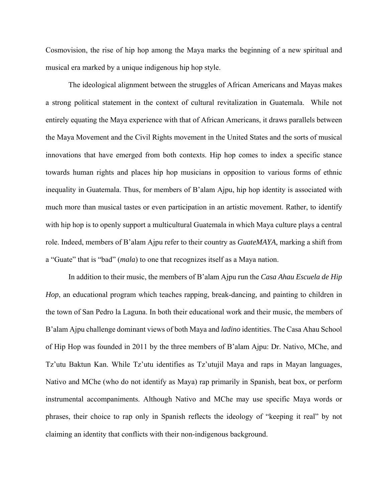Cosmovision, the rise of hip hop among the Maya marks the beginning of a new spiritual and musical era marked by a unique indigenous hip hop style.

The ideological alignment between the struggles of African Americans and Mayas makes a strong political statement in the context of cultural revitalization in Guatemala. While not entirely equating the Maya experience with that of African Americans, it draws parallels between the Maya Movement and the Civil Rights movement in the United States and the sorts of musical innovations that have emerged from both contexts. Hip hop comes to index a specific stance towards human rights and places hip hop musicians in opposition to various forms of ethnic inequality in Guatemala. Thus, for members of B'alam Ajpu, hip hop identity is associated with much more than musical tastes or even participation in an artistic movement. Rather, to identify with hip hop is to openly support a multicultural Guatemala in which Maya culture plays a central role. Indeed, members of B'alam Ajpu refer to their country as *GuateMAYA,* marking a shift from a "Guate" that is "bad" (*mala*) to one that recognizes itself as a Maya nation.

In addition to their music, the members of B'alam Ajpu run the *Casa Ahau Escuela de Hip Hop*, an educational program which teaches rapping, break-dancing, and painting to children in the town of San Pedro la Laguna. In both their educational work and their music, the members of B'alam Ajpu challenge dominant views of both Maya and *ladino* identities. The Casa Ahau School of Hip Hop was founded in 2011 by the three members of B'alam Ajpu: Dr. Nativo, MChe, and Tz'utu Baktun Kan. While Tz'utu identifies as Tz'utujil Maya and raps in Mayan languages, Nativo and MChe (who do not identify as Maya) rap primarily in Spanish, beat box, or perform instrumental accompaniments. Although Nativo and MChe may use specific Maya words or phrases, their choice to rap only in Spanish reflects the ideology of "keeping it real" by not claiming an identity that conflicts with their non-indigenous background.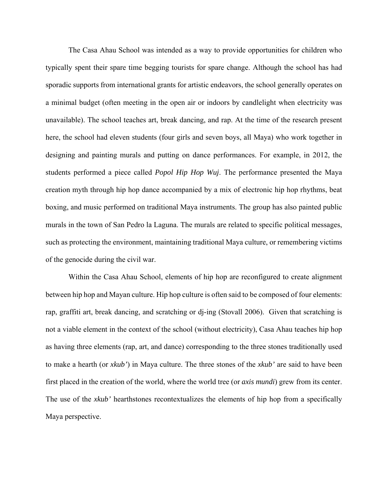The Casa Ahau School was intended as a way to provide opportunities for children who typically spent their spare time begging tourists for spare change. Although the school has had sporadic supports from international grants for artistic endeavors, the school generally operates on a minimal budget (often meeting in the open air or indoors by candlelight when electricity was unavailable). The school teaches art, break dancing, and rap. At the time of the research present here, the school had eleven students (four girls and seven boys, all Maya) who work together in designing and painting murals and putting on dance performances. For example, in 2012, the students performed a piece called *Popol Hip Hop Wuj*. The performance presented the Maya creation myth through hip hop dance accompanied by a mix of electronic hip hop rhythms, beat boxing, and music performed on traditional Maya instruments. The group has also painted public murals in the town of San Pedro la Laguna. The murals are related to specific political messages, such as protecting the environment, maintaining traditional Maya culture, or remembering victims of the genocide during the civil war.

Within the Casa Ahau School, elements of hip hop are reconfigured to create alignment between hip hop and Mayan culture. Hip hop culture is often said to be composed of four elements: rap, graffiti art, break dancing, and scratching or dj-ing (Stovall 2006). Given that scratching is not a viable element in the context of the school (without electricity), Casa Ahau teaches hip hop as having three elements (rap, art, and dance) corresponding to the three stones traditionally used to make a hearth (or *xkub'*) in Maya culture. The three stones of the *xkub'* are said to have been first placed in the creation of the world, where the world tree (or *axis mundi*) grew from its center. The use of the *xkub'* hearthstones recontextualizes the elements of hip hop from a specifically Maya perspective.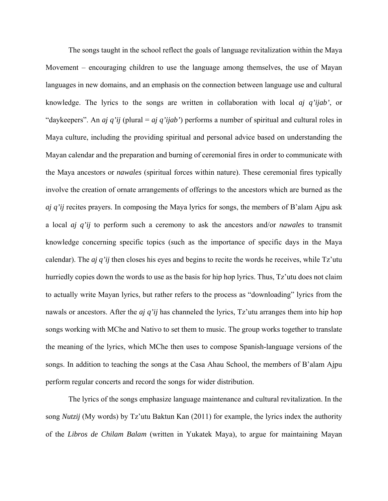The songs taught in the school reflect the goals of language revitalization within the Maya Movement – encouraging children to use the language among themselves, the use of Mayan languages in new domains, and an emphasis on the connection between language use and cultural knowledge. The lyrics to the songs are written in collaboration with local *aj q'ijab'*, or "daykeepers". An *aj q'ij* (plural = *aj q'ijab'*) performs a number of spiritual and cultural roles in Maya culture, including the providing spiritual and personal advice based on understanding the Mayan calendar and the preparation and burning of ceremonial fires in order to communicate with the Maya ancestors or *nawales* (spiritual forces within nature). These ceremonial fires typically involve the creation of ornate arrangements of offerings to the ancestors which are burned as the *aj q'ij* recites prayers. In composing the Maya lyrics for songs, the members of B'alam Ajpu ask a local *aj q'ij* to perform such a ceremony to ask the ancestors and/or *nawales* to transmit knowledge concerning specific topics (such as the importance of specific days in the Maya calendar). The *aj q'ij* then closes his eyes and begins to recite the words he receives, while Tz'utu hurriedly copies down the words to use as the basis for hip hop lyrics. Thus, Tz'utu does not claim to actually write Mayan lyrics, but rather refers to the process as "downloading" lyrics from the nawals or ancestors. After the *aj q'ij* has channeled the lyrics, Tz'utu arranges them into hip hop songs working with MChe and Nativo to set them to music. The group works together to translate the meaning of the lyrics, which MChe then uses to compose Spanish-language versions of the songs. In addition to teaching the songs at the Casa Ahau School, the members of B'alam Ajpu perform regular concerts and record the songs for wider distribution.

The lyrics of the songs emphasize language maintenance and cultural revitalization. In the song *Nutzij* (My words) by Tz'utu Baktun Kan (2011) for example, the lyrics index the authority of the *Libros de Chilam Balam* (written in Yukatek Maya), to argue for maintaining Mayan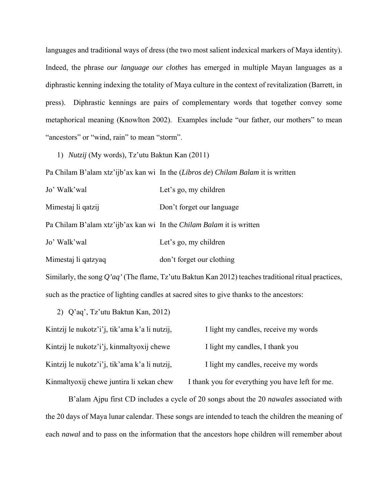languages and traditional ways of dress (the two most salient indexical markers of Maya identity). Indeed, the phrase *our language our clothes* has emerged in multiple Mayan languages as a diphrastic kenning indexing the totality of Maya culture in the context of revitalization (Barrett, in press). Diphrastic kennings are pairs of complementary words that together convey some metaphorical meaning (Knowlton 2002). Examples include "our father, our mothers" to mean "ancestors" or "wind, rain" to mean "storm".

1) *Nutzij* (My words), Tz'utu Baktun Kan (2011)

Pa Chilam B'alam xtz'ijb'ax kan wi In the (*Libros de*) *Chilam Balam* it is written

| Jo' Walk'wal                                                                                          | Let's go, my children     |  |
|-------------------------------------------------------------------------------------------------------|---------------------------|--|
| Mimestaj li gatzij                                                                                    | Don't forget our language |  |
| Pa Chilam B'alam xtz'ijb'ax kan wi In the Chilam Balam it is written                                  |                           |  |
| Jo' Walk'wal                                                                                          | Let's go, my children     |  |
| Mimestaj li gatzyag                                                                                   | don't forget our clothing |  |
| Similarly, the song $Q'aq'$ (The flame, Tz'utu Baktun Kan 2012) teaches traditional ritual practices, |                           |  |

such as the practice of lighting candles at sacred sites to give thanks to the ancestors:

2) Q'aq', Tz'utu Baktun Kan, 2012)

| Kintzij le nukotz'i'j, tik'ama k'a li nutzij, | I light my candles, receive my words             |
|-----------------------------------------------|--------------------------------------------------|
| Kintzij le nukotz'i'j, kinmaltyoxij chewe     | I light my candles, I thank you                  |
| Kintzij le nukotz'i'j, tik'ama k'a li nutzij, | I light my candles, receive my words             |
| Kinmaltyoxij chewe juntira li xekan chew      | I thank you for everything you have left for me. |

B'alam Ajpu first CD includes a cycle of 20 songs about the 20 *nawales* associated with the 20 days of Maya lunar calendar. These songs are intended to teach the children the meaning of each *nawal* and to pass on the information that the ancestors hope children will remember about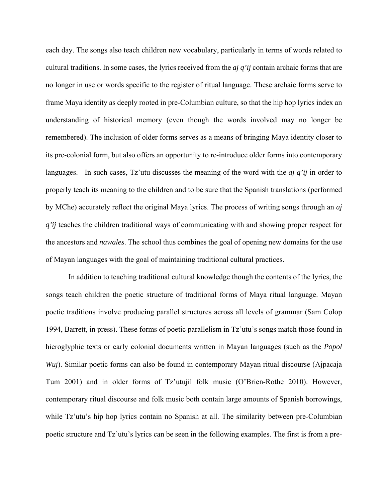each day. The songs also teach children new vocabulary, particularly in terms of words related to cultural traditions. In some cases, the lyrics received from the *aj q'ij* contain archaic forms that are no longer in use or words specific to the register of ritual language. These archaic forms serve to frame Maya identity as deeply rooted in pre-Columbian culture, so that the hip hop lyrics index an understanding of historical memory (even though the words involved may no longer be remembered). The inclusion of older forms serves as a means of bringing Maya identity closer to its pre-colonial form, but also offers an opportunity to re-introduce older forms into contemporary languages. In such cases, Tz'utu discusses the meaning of the word with the *aj q'ij* in order to properly teach its meaning to the children and to be sure that the Spanish translations (performed by MChe) accurately reflect the original Maya lyrics. The process of writing songs through an *aj q'ij* teaches the children traditional ways of communicating with and showing proper respect for the ancestors and *nawales*. The school thus combines the goal of opening new domains for the use of Mayan languages with the goal of maintaining traditional cultural practices.

 In addition to teaching traditional cultural knowledge though the contents of the lyrics, the songs teach children the poetic structure of traditional forms of Maya ritual language. Mayan poetic traditions involve producing parallel structures across all levels of grammar (Sam Colop 1994, Barrett, in press). These forms of poetic parallelism in Tz'utu's songs match those found in hieroglyphic texts or early colonial documents written in Mayan languages (such as the *Popol Wuj*). Similar poetic forms can also be found in contemporary Mayan ritual discourse (Ajpacaja Tum 2001) and in older forms of Tz'utujil folk music (O'Brien-Rothe 2010). However, contemporary ritual discourse and folk music both contain large amounts of Spanish borrowings, while Tz'utu's hip hop lyrics contain no Spanish at all. The similarity between pre-Columbian poetic structure and Tz'utu's lyrics can be seen in the following examples. The first is from a pre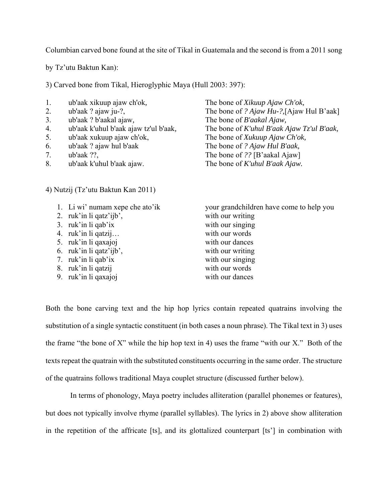Columbian carved bone found at the site of Tikal in Guatemala and the second is from a 2011 song

by Tz'utu Baktun Kan):

3) Carved bone from Tikal, Hieroglyphic Maya (Hull 2003: 397):

| 1.<br>2.<br>3.<br>4.<br>5.<br>6.<br>7. | ub'aak xikuup ajaw ch'ok,<br>ub'aak ? ajaw ju-?,<br>ub'aak ? b'aakal ajaw,<br>ub'aak k'uhul b'aak ajaw tz'ul b'aak,<br>ub'aak xukuup ajaw ch'ok,<br>ub'aak ? ajaw hul b'aak<br>$ub$ 'aak ??, | The bone of Xikuup Ajaw Ch'ok,<br>The bone of ? Ajaw Hu-?, [Ajaw Hul B'aak]<br>The bone of <i>B'aakal Ajaw</i> ,<br>The bone of K'uhul B'aak Ajaw Tz'ul B'aak,<br>The bone of Xukuup Ajaw Ch'ok,<br>The bone of ? Ajaw Hul B'aak,<br>The bone of ?? [B'aakal Ajaw] |
|----------------------------------------|----------------------------------------------------------------------------------------------------------------------------------------------------------------------------------------------|--------------------------------------------------------------------------------------------------------------------------------------------------------------------------------------------------------------------------------------------------------------------|
| 8.                                     | ub'aak k'uhul b'aak ajaw.                                                                                                                                                                    | The bone of K'uhul B'aak Ajaw.                                                                                                                                                                                                                                     |
|                                        | 4) Nutzij (Tz'utu Baktun Kan 2011)<br>1. Li wi' numam xepe che ato'ik                                                                                                                        | your grandchildren have come to help you                                                                                                                                                                                                                           |
|                                        | 2. ruk'in li qatz'ijb',                                                                                                                                                                      | with our writing                                                                                                                                                                                                                                                   |
|                                        | 3. $\text{ruk}'$ in li qab'ix                                                                                                                                                                | with our singing                                                                                                                                                                                                                                                   |
|                                        | 4. ruk'in li qatzij                                                                                                                                                                          | with our words                                                                                                                                                                                                                                                     |
|                                        | 5. ruk'in li qaxajoj                                                                                                                                                                         | with our dances                                                                                                                                                                                                                                                    |
|                                        | 6. ruk'in li qatz'ijb',                                                                                                                                                                      | with our writing                                                                                                                                                                                                                                                   |
|                                        | 7. $\text{ruk}'$ in li qab'ix                                                                                                                                                                | with our singing                                                                                                                                                                                                                                                   |
|                                        | 8. ruk'in li qatzij                                                                                                                                                                          | with our words                                                                                                                                                                                                                                                     |
|                                        | 9. ruk'in li qaxajoj                                                                                                                                                                         | with our dances                                                                                                                                                                                                                                                    |

Both the bone carving text and the hip hop lyrics contain repeated quatrains involving the substitution of a single syntactic constituent (in both cases a noun phrase). The Tikal text in 3) uses the frame "the bone of X" while the hip hop text in 4) uses the frame "with our X." Both of the texts repeat the quatrain with the substituted constituents occurring in the same order. The structure of the quatrains follows traditional Maya couplet structure (discussed further below).

 In terms of phonology, Maya poetry includes alliteration (parallel phonemes or features), but does not typically involve rhyme (parallel syllables). The lyrics in 2) above show alliteration in the repetition of the affricate [ts], and its glottalized counterpart [ts'] in combination with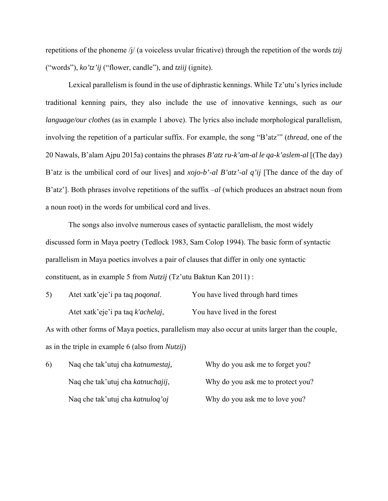repetitions of the phoneme /j/ (a voiceless uvular fricative) through the repetition of the words *tzij* ("words"), *ko'tz'ij* ("flower, candle"), and *tziij* (ignite).

Lexical parallelism is found in the use of diphrastic kennings. While Tz'utu's lyrics include traditional kenning pairs, they also include the use of innovative kennings, such as *our language/our clothes* (as in example 1 above). The lyrics also include morphological parallelism, involving the repetition of a particular suffix. For example, the song "B'atz'" (*thread*, one of the 20 Nawals, B'alam Ajpu 2015a) contains the phrases *B'atz ru-k'am-al le qa-k'aslem-al* [(The day) B'atz is the umbilical cord of our lives] and *xojo-b'-al B'atz'-al q'ij* [The dance of the day of B'atz']. Both phrases involve repetitions of the suffix –*al* (which produces an abstract noun from a noun root) in the words for umbilical cord and lives.

The songs also involve numerous cases of syntactic parallelism, the most widely discussed form in Maya poetry (Tedlock 1983, Sam Colop 1994). The basic form of syntactic parallelism in Maya poetics involves a pair of clauses that differ in only one syntactic constituent, as in example 5 from *Nutzij* (Tz'utu Baktun Kan 2011) :

5) Atet xatk'eje'i pa taq *poqonal*. You have lived through hard times Atet xatk'eje'i pa taq *k'achelaj*, You have lived in the forest

As with other forms of Maya poetics, parallelism may also occur at units larger than the couple, as in the triple in example 6 (also from *Nutzij*)

6) Naq che tak'utuj cha *katnumestaj,* Why do you ask me to forget you? Naq che tak'utuj cha *katnuchajij*, Why do you ask me to protect you? Naq che tak'utuj cha *katnuloq'oj* Why do you ask me to love you?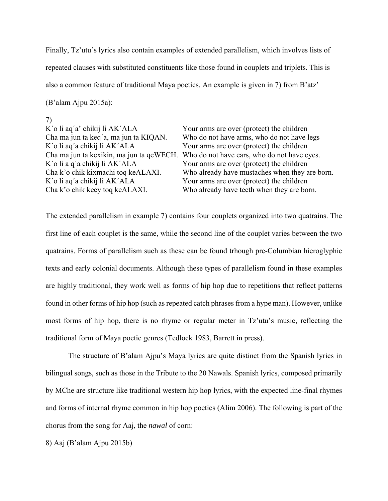Finally, Tz'utu's lyrics also contain examples of extended parallelism, which involves lists of repeated clauses with substituted constituents like those found in couplets and triplets. This is also a common feature of traditional Maya poetics. An example is given in 7) from B'atz' (B'alam Ajpu 2015a):

7)<br>K'o li aq'a' chikij li AK'ALA K'o li aq'a' chikij li AK'ALA Your arms are over (protect) the children<br>Cha ma jun ta keq'a, ma jun ta KIQAN. Who do not have arms, who do not have l K'o li aq'a chikij li AK'ALA Your arms are over (protect) the children K'o li a q'a chikij li AK'ALA Your arms are over (protect) the children<br>Cha k'o chik kixmachi toq keALAXI. Who already have mustaches when they a K'o li aq'a chikij li AK'ALA Your arms are over (protect) the children<br>Cha k'o chik keey toq keALAXI. Who already have teeth when they are bo

Who do not have arms, who do not have legs Cha ma jun ta kexikin, ma jun ta qeWECH. Who do not have ears, who do not have eyes.<br>K'o li a q'a chikij li AK'ALA Your arms are over (protect) the children Who already have mustaches when they are born. Who already have teeth when they are born.

The extended parallelism in example 7) contains four couplets organized into two quatrains. The first line of each couplet is the same, while the second line of the couplet varies between the two quatrains. Forms of parallelism such as these can be found trhough pre-Columbian hieroglyphic texts and early colonial documents. Although these types of parallelism found in these examples are highly traditional, they work well as forms of hip hop due to repetitions that reflect patterns found in other forms of hip hop (such as repeated catch phrases from a hype man). However, unlike most forms of hip hop, there is no rhyme or regular meter in Tz'utu's music, reflecting the traditional form of Maya poetic genres (Tedlock 1983, Barrett in press).

 The structure of B'alam Ajpu's Maya lyrics are quite distinct from the Spanish lyrics in bilingual songs, such as those in the Tribute to the 20 Nawals. Spanish lyrics, composed primarily by MChe are structure like traditional western hip hop lyrics, with the expected line-final rhymes and forms of internal rhyme common in hip hop poetics (Alim 2006). The following is part of the chorus from the song for Aaj, the *nawal* of corn:

8) Aaj (B'alam Ajpu 2015b)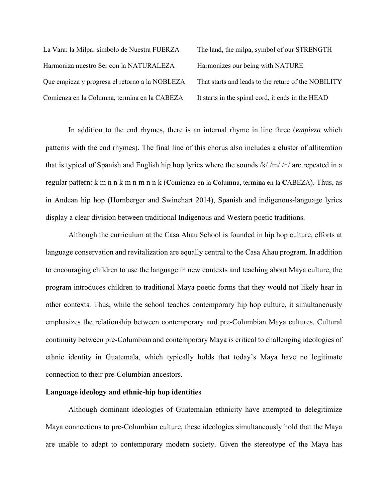La Vara: la Milpa: símbolo de Nuestra FUERZA Harmoniza nuestro Ser con la NATURALEZA Que empieza y progresa el retorno a la NOBLEZA Comienza en la Columna, termina en la CABEZA

The land, the milpa, symbol of our STRENGTH Harmonizes our being with NATURE That starts and leads to the reture of the NOBILITY It starts in the spinal cord, it ends in the HEAD

In addition to the end rhymes, there is an internal rhyme in line three (*empieza* which patterns with the end rhymes). The final line of this chorus also includes a cluster of alliteration that is typical of Spanish and English hip hop lyrics where the sounds  $\frac{k}{m}$  /m/ $\frac{n}{m}$  are repeated in a regular pattern: k m n n k m n m n n k (**C**o**m**ie**n**za e**n** la **C**olu**mn**a, ter**m**i**n**a en la **C**ABEZA). Thus, as in Andean hip hop (Hornberger and Swinehart 2014), Spanish and indigenous-language lyrics display a clear division between traditional Indigenous and Western poetic traditions.

Although the curriculum at the Casa Ahau School is founded in hip hop culture, efforts at language conservation and revitalization are equally central to the Casa Ahau program. In addition to encouraging children to use the language in new contexts and teaching about Maya culture, the program introduces children to traditional Maya poetic forms that they would not likely hear in other contexts. Thus, while the school teaches contemporary hip hop culture, it simultaneously emphasizes the relationship between contemporary and pre-Columbian Maya cultures. Cultural continuity between pre-Columbian and contemporary Maya is critical to challenging ideologies of ethnic identity in Guatemala, which typically holds that today's Maya have no legitimate connection to their pre-Columbian ancestors.

## **Language ideology and ethnic-hip hop identities**

 Although dominant ideologies of Guatemalan ethnicity have attempted to delegitimize Maya connections to pre-Columbian culture, these ideologies simultaneously hold that the Maya are unable to adapt to contemporary modern society. Given the stereotype of the Maya has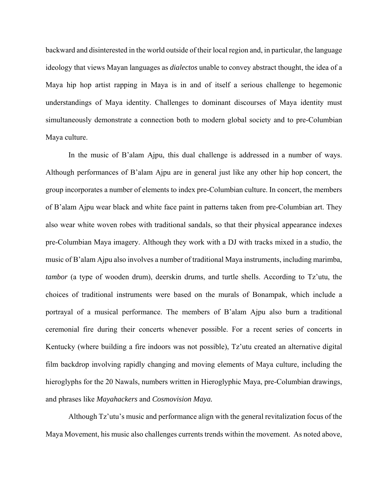backward and disinterested in the world outside of their local region and, in particular, the language ideology that views Mayan languages as *dialectos* unable to convey abstract thought, the idea of a Maya hip hop artist rapping in Maya is in and of itself a serious challenge to hegemonic understandings of Maya identity. Challenges to dominant discourses of Maya identity must simultaneously demonstrate a connection both to modern global society and to pre-Columbian Maya culture.

In the music of B'alam Ajpu, this dual challenge is addressed in a number of ways. Although performances of B'alam Ajpu are in general just like any other hip hop concert, the group incorporates a number of elements to index pre-Columbian culture. In concert, the members of B'alam Ajpu wear black and white face paint in patterns taken from pre-Columbian art. They also wear white woven robes with traditional sandals, so that their physical appearance indexes pre-Columbian Maya imagery. Although they work with a DJ with tracks mixed in a studio, the music of B'alam Ajpu also involves a number of traditional Maya instruments, including marimba, *tambor* (a type of wooden drum), deerskin drums, and turtle shells. According to Tz'utu, the choices of traditional instruments were based on the murals of Bonampak, which include a portrayal of a musical performance. The members of B'alam Ajpu also burn a traditional ceremonial fire during their concerts whenever possible. For a recent series of concerts in Kentucky (where building a fire indoors was not possible), Tz'utu created an alternative digital film backdrop involving rapidly changing and moving elements of Maya culture, including the hieroglyphs for the 20 Nawals, numbers written in Hieroglyphic Maya, pre-Columbian drawings, and phrases like *Mayahackers* and *Cosmovision Maya.*

Although Tz'utu's music and performance align with the general revitalization focus of the Maya Movement, his music also challenges currents trends within the movement. As noted above,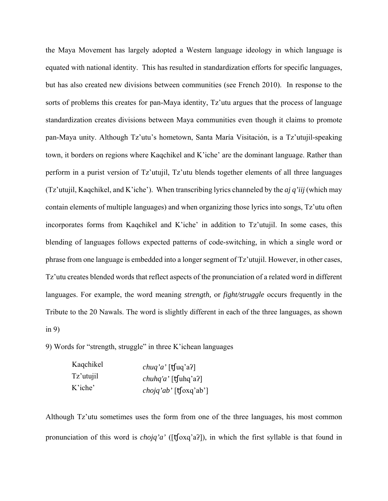the Maya Movement has largely adopted a Western language ideology in which language is equated with national identity. This has resulted in standardization efforts for specific languages, but has also created new divisions between communities (see French 2010). In response to the sorts of problems this creates for pan-Maya identity, Tz'utu argues that the process of language standardization creates divisions between Maya communities even though it claims to promote pan-Maya unity. Although Tz'utu's hometown, Santa María Visitación, is a Tz'utujil-speaking town, it borders on regions where Kaqchikel and K'iche' are the dominant language. Rather than perform in a purist version of Tz'utujil, Tz'utu blends together elements of all three languages (Tz'utujil, Kaqchikel, and K'iche'). When transcribing lyrics channeled by the *aj q'iij* (which may contain elements of multiple languages) and when organizing those lyrics into songs, Tz'utu often incorporates forms from Kaqchikel and K'iche' in addition to Tz'utujil. In some cases, this blending of languages follows expected patterns of code-switching, in which a single word or phrase from one language is embedded into a longer segment of Tz'utujil. However, in other cases, Tz'utu creates blended words that reflect aspects of the pronunciation of a related word in different languages. For example, the word meaning *strength,* or *fight/struggle* occurs frequently in the Tribute to the 20 Nawals. The word is slightly different in each of the three languages, as shown in 9)

9) Words for "strength, struggle" in three K'ichean languages

| Kaqchikel  | <i>chuq'a'</i> [tfuq'a?]    |
|------------|-----------------------------|
| Tz'utujil  | <i>chuhq'a'</i> [t͡ʃuhq'a?] |
| $K$ 'iche' | $chojq'ab'$ [tfoxq'ab']     |

Although Tz'utu sometimes uses the form from one of the three languages, his most common pronunciation of this word is *chojq'a'* ([tfoxq'a?]), in which the first syllable is that found in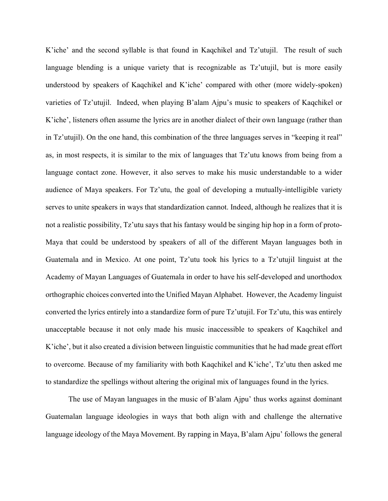K'iche' and the second syllable is that found in Kaqchikel and Tz'utujil. The result of such language blending is a unique variety that is recognizable as  $Tz$  utujil, but is more easily understood by speakers of Kaqchikel and K'iche' compared with other (more widely-spoken) varieties of Tz'utujil. Indeed, when playing B'alam Ajpu's music to speakers of Kaqchikel or K'iche', listeners often assume the lyrics are in another dialect of their own language (rather than in Tz'utujil). On the one hand, this combination of the three languages serves in "keeping it real" as, in most respects, it is similar to the mix of languages that Tz'utu knows from being from a language contact zone. However, it also serves to make his music understandable to a wider audience of Maya speakers. For Tz'utu, the goal of developing a mutually-intelligible variety serves to unite speakers in ways that standardization cannot. Indeed, although he realizes that it is not a realistic possibility, Tz'utu says that his fantasy would be singing hip hop in a form of proto-Maya that could be understood by speakers of all of the different Mayan languages both in Guatemala and in Mexico. At one point, Tz'utu took his lyrics to a Tz'utujil linguist at the Academy of Mayan Languages of Guatemala in order to have his self-developed and unorthodox orthographic choices converted into the Unified Mayan Alphabet. However, the Academy linguist converted the lyrics entirely into a standardize form of pure Tz'utujil. For Tz'utu, this was entirely unacceptable because it not only made his music inaccessible to speakers of Kaqchikel and K'iche', but it also created a division between linguistic communities that he had made great effort to overcome. Because of my familiarity with both Kaqchikel and K'iche', Tz'utu then asked me to standardize the spellings without altering the original mix of languages found in the lyrics.

The use of Mayan languages in the music of B'alam Ajpu' thus works against dominant Guatemalan language ideologies in ways that both align with and challenge the alternative language ideology of the Maya Movement. By rapping in Maya, B'alam Ajpu' follows the general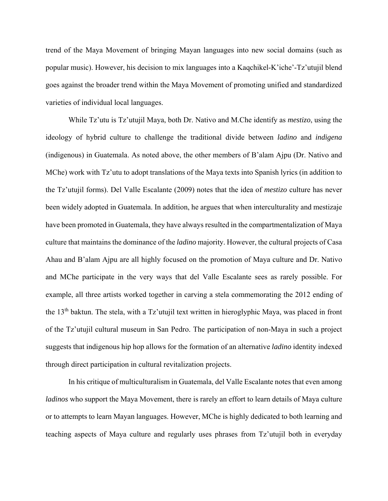trend of the Maya Movement of bringing Mayan languages into new social domains (such as popular music). However, his decision to mix languages into a Kaqchikel-K'iche'-Tz'utujil blend goes against the broader trend within the Maya Movement of promoting unified and standardized varieties of individual local languages.

While Tz'utu is Tz'utujil Maya, both Dr. Nativo and M.Che identify as *mestizo*, using the ideology of hybrid culture to challenge the traditional divide between *ladino* and *indigena*  (indigenous) in Guatemala. As noted above, the other members of B'alam Ajpu (Dr. Nativo and MChe) work with Tz'utu to adopt translations of the Maya texts into Spanish lyrics (in addition to the Tz'utujil forms). Del Valle Escalante (2009) notes that the idea of *mestizo* culture has never been widely adopted in Guatemala. In addition, he argues that when interculturality and mestizaje have been promoted in Guatemala, they have always resulted in the compartmentalization of Maya culture that maintains the dominance of the *ladino* majority. However, the cultural projects of Casa Ahau and B'alam Ajpu are all highly focused on the promotion of Maya culture and Dr. Nativo and MChe participate in the very ways that del Valle Escalante sees as rarely possible. For example, all three artists worked together in carving a stela commemorating the 2012 ending of the 13th baktun. The stela, with a Tz'utujil text written in hieroglyphic Maya, was placed in front of the Tz'utujil cultural museum in San Pedro. The participation of non-Maya in such a project suggests that indigenous hip hop allows for the formation of an alternative *ladino* identity indexed through direct participation in cultural revitalization projects.

In his critique of multiculturalism in Guatemala, del Valle Escalante notes that even among *ladinos* who support the Maya Movement, there is rarely an effort to learn details of Maya culture or to attempts to learn Mayan languages. However, MChe is highly dedicated to both learning and teaching aspects of Maya culture and regularly uses phrases from Tz'utujil both in everyday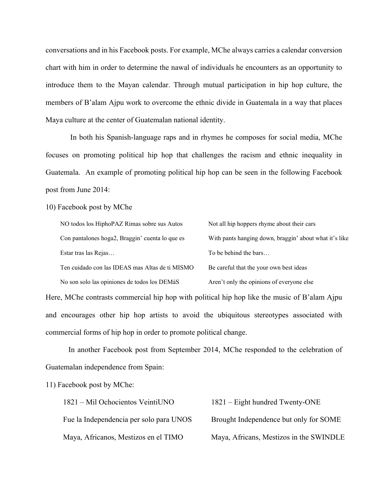conversations and in his Facebook posts. For example, MChe always carries a calendar conversion chart with him in order to determine the nawal of individuals he encounters as an opportunity to introduce them to the Mayan calendar. Through mutual participation in hip hop culture, the members of B'alam Ajpu work to overcome the ethnic divide in Guatemala in a way that places Maya culture at the center of Guatemalan national identity.

 In both his Spanish-language raps and in rhymes he composes for social media, MChe focuses on promoting political hip hop that challenges the racism and ethnic inequality in Guatemala. An example of promoting political hip hop can be seen in the following Facebook post from June 2014:

10) Facebook post by MChe

| NO todos los HiphoPAZ Rimas sobre sus Autos     | Not all hip hoppers rhyme about their cars             |
|-------------------------------------------------|--------------------------------------------------------|
| Con pantalones hoga2, Braggin' cuenta lo que es | With pants hanging down, braggin' about what it's like |
| Estar tras las Rejas                            | To be behind the bars                                  |
| Ten cuidado con las IDEAS mas Altas de ti MISMO | Be careful that the your own best ideas                |
| No son solo las opiniones de todos los DEMáS    | Aren't only the opinions of everyone else              |

Here, MChe contrasts commercial hip hop with political hip hop like the music of B'alam Ajpu and encourages other hip hop artists to avoid the ubiquitous stereotypes associated with commercial forms of hip hop in order to promote political change.

In another Facebook post from September 2014, MChe responded to the celebration of Guatemalan independence from Spain:

11) Facebook post by MChe:

| 1821 – Mil Ochocientos VeintiUNO        | 1821 – Eight hundred Twenty-ONE         |
|-----------------------------------------|-----------------------------------------|
| Fue la Independencia per solo para UNOS | Brought Independence but only for SOME  |
| Maya, Africanos, Mestizos en el TIMO    | Maya, Africans, Mestizos in the SWINDLE |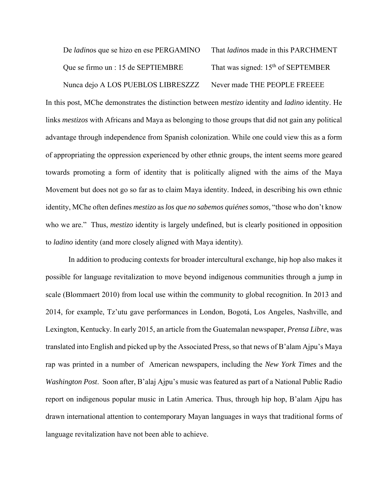De *ladino*s que se hizo en ese PERGAMINO Que se firmo un : 15 de SEPTIEMBRE Nunca dejo A LOS PUEBLOS LIBRESZZZ That *ladino*s made in this PARCHMENT That was signed:  $15<sup>th</sup>$  of SEPTEMBER Never made THE PEOPLE FREEEE

In this post, MChe demonstrates the distinction between *mestizo* identity and *ladino* identity. He links *mestizos* with Africans and Maya as belonging to those groups that did not gain any political advantage through independence from Spanish colonization. While one could view this as a form of appropriating the oppression experienced by other ethnic groups, the intent seems more geared towards promoting a form of identity that is politically aligned with the aims of the Maya Movement but does not go so far as to claim Maya identity. Indeed, in describing his own ethnic identity, MChe often defines *mestizo* as *los que no sabemos quiénes somos,* "those who don't know who we are." Thus, *mestizo* identity is largely undefined, but is clearly positioned in opposition to *ladino* identity (and more closely aligned with Maya identity).

In addition to producing contexts for broader intercultural exchange, hip hop also makes it possible for language revitalization to move beyond indigenous communities through a jump in scale (Blommaert 2010) from local use within the community to global recognition. In 2013 and 2014, for example, Tz'utu gave performances in London, Bogotá, Los Angeles, Nashville, and Lexington, Kentucky. In early 2015, an article from the Guatemalan newspaper, *Prensa Libre*, was translated into English and picked up by the Associated Press, so that news of B'alam Ajpu's Maya rap was printed in a number of American newspapers, including the *New York Times* and the *Washington Post*. Soon after, B'alaj Ajpu's music was featured as part of a National Public Radio report on indigenous popular music in Latin America. Thus, through hip hop, B'alam Ajpu has drawn international attention to contemporary Mayan languages in ways that traditional forms of language revitalization have not been able to achieve.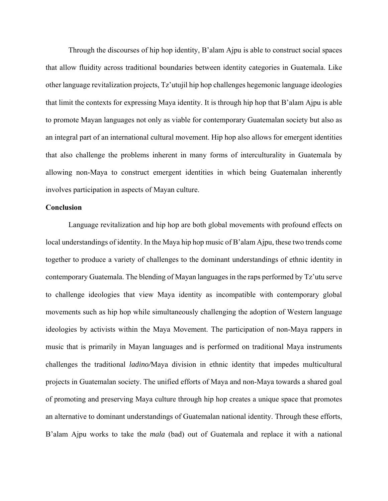Through the discourses of hip hop identity, B'alam Ajpu is able to construct social spaces that allow fluidity across traditional boundaries between identity categories in Guatemala. Like other language revitalization projects, Tz'utujil hip hop challenges hegemonic language ideologies that limit the contexts for expressing Maya identity. It is through hip hop that B'alam Ajpu is able to promote Mayan languages not only as viable for contemporary Guatemalan society but also as an integral part of an international cultural movement. Hip hop also allows for emergent identities that also challenge the problems inherent in many forms of interculturality in Guatemala by allowing non-Maya to construct emergent identities in which being Guatemalan inherently involves participation in aspects of Mayan culture.

#### **Conclusion**

 Language revitalization and hip hop are both global movements with profound effects on local understandings of identity. In the Maya hip hop music of B'alam Ajpu, these two trends come together to produce a variety of challenges to the dominant understandings of ethnic identity in contemporary Guatemala. The blending of Mayan languages in the raps performed by Tz'utu serve to challenge ideologies that view Maya identity as incompatible with contemporary global movements such as hip hop while simultaneously challenging the adoption of Western language ideologies by activists within the Maya Movement. The participation of non-Maya rappers in music that is primarily in Mayan languages and is performed on traditional Maya instruments challenges the traditional *ladino/*Maya division in ethnic identity that impedes multicultural projects in Guatemalan society. The unified efforts of Maya and non-Maya towards a shared goal of promoting and preserving Maya culture through hip hop creates a unique space that promotes an alternative to dominant understandings of Guatemalan national identity. Through these efforts, B'alam Ajpu works to take the *mala* (bad) out of Guatemala and replace it with a national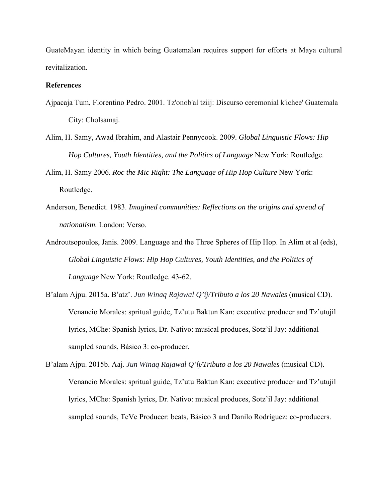GuateMayan identity in which being Guatemalan requires support for efforts at Maya cultural revitalization.

### **References**

- Ajpacaja Tum, Florentino Pedro. 2001. Tz'onob'al tziij: Discurso ceremonial k'ichee' Guatemala City: Cholsamaj.
- Alim, H. Samy, Awad Ibrahim, and Alastair Pennycook. 2009. *Global Linguistic Flows: Hip Hop Cultures, Youth Identities, and the Politics of Language* New York: Routledge.

Alim, H. Samy 2006. *Roc the Mic Right: The Language of Hip Hop Culture* New York: Routledge.

- Anderson, Benedict. 1983. *Imagined communities: Reflections on the origins and spread of nationalism.* London: Verso.
- Androutsopoulos, Janis. 2009. Language and the Three Spheres of Hip Hop. In Alim et al (eds), *Global Linguistic Flows: Hip Hop Cultures, Youth Identities, and the Politics of Language* New York: Routledge. 43-62.
- B'alam Ajpu. 2015a. B'atz'. *Jun Winaq Rajawal Q'íj/Tributo a los 20 Nawales* (musical CD). Venancio Morales: spritual guide, Tz'utu Baktun Kan: executive producer and Tz'utujil lyrics, MChe: Spanish lyrics, Dr. Nativo: musical produces, Sotz'il Jay: additional sampled sounds, Básico 3: co-producer.

B'alam Ajpu. 2015b. Aaj. *Jun Winaq Rajawal Q'íj/Tributo a los 20 Nawales* (musical CD). Venancio Morales: spritual guide, Tz'utu Baktun Kan: executive producer and Tz'utujil lyrics, MChe: Spanish lyrics, Dr. Nativo: musical produces, Sotz'il Jay: additional sampled sounds, TeVe Producer: beats, Básico 3 and Danilo Rodríguez: co-producers.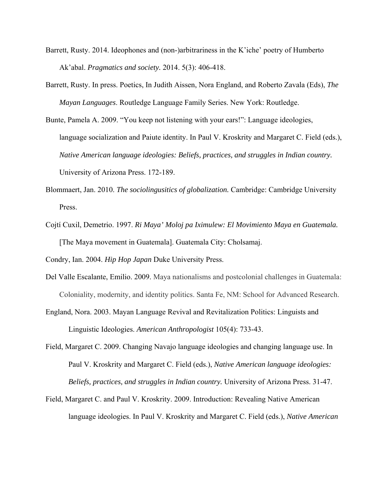- Barrett, Rusty. 2014. Ideophones and (non-)arbitrariness in the K'iche' poetry of Humberto Ak'abal. *Pragmatics and society.* 2014. 5(3): 406-418.
- Barrett, Rusty. In press. Poetics, In Judith Aissen, Nora England, and Roberto Zavala (Eds), *The Mayan Languages*. Routledge Language Family Series. New York: Routledge.
- Bunte, Pamela A. 2009. "You keep not listening with your ears!": Language ideologies, language socialization and Paiute identity. In Paul V. Kroskrity and Margaret C. Field (eds.), *Native American language ideologies: Beliefs, practices, and struggles in Indian country.*  University of Arizona Press. 172-189.
- Blommaert, Jan. 2010. *The sociolingusitics of globalization.* Cambridge: Cambridge University Press.
- Cojtí Cuxil, Demetrio. 1997. *Ri Maya' Moloj pa Iximulew: El Movimiento Maya en Guatemala.* [The Maya movement in Guatemala]. Guatemala City: Cholsamaj.

Condry, Ian. 2004. *Hip Hop Japan* Duke University Press.

- Del Valle Escalante, Emilio. 2009. Maya nationalisms and postcolonial challenges in Guatemala: Coloniality, modernity, and identity politics. Santa Fe, NM: School for Advanced Research.
- England, Nora. 2003. Mayan Language Revival and Revitalization Politics: Linguists and Linguistic Ideologies. *American Anthropologist* 105(4): 733-43.
- Field, Margaret C. 2009. Changing Navajo language ideologies and changing language use. In Paul V. Kroskrity and Margaret C. Field (eds.), *Native American language ideologies: Beliefs, practices, and struggles in Indian country.* University of Arizona Press. 31-47.
- Field, Margaret C. and Paul V. Kroskrity. 2009. Introduction: Revealing Native American language ideologies. In Paul V. Kroskrity and Margaret C. Field (eds.), *Native American*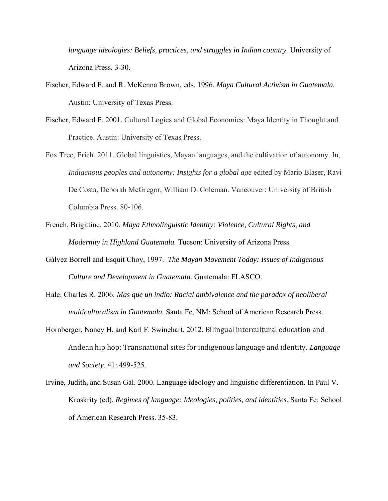language ideologies: Beliefs, practices, and struggles in Indian country. University of Arizona Press. 3-30.

- Fischer, Edward F. and R. McKenna Brown, eds. 1996. *Maya Cultural Activism in Guatemala.* Austin: University of Texas Press.
- Fischer, Edward F. 2001. Cultural Logics and Global Economies: Maya Identity in Thought and Practice. Austin: University of Texas Press.
- Fox Tree, Erich. 2011. Global linguistics, Mayan languages, and the cultivation of autonomy. In, *Indigenous peoples and autonomy: Insights for a global age* edited by Mario Blaser, Ravi De Costa, Deborah McGregor, William D. Coleman. Vancouver: University of British Columbia Press. 80-106.
- French, Brigittine. 2010. *Maya Ethnolinguistic Identity: Violence, Cultural Rights, and Modernity in Highland Guatemala.* Tucson: University of Arizona Press.
- Gálvez Borrell and Esquit Choy, 1997. *The Mayan Movement Today: Issues of Indigenous Culture and Development in Guatemala*. Guatemala: FLASCO.
- Hale, Charles R. 2006. *Mas que un indio: Racial ambivalence and the paradox of neoliberal multiculturalism in Guatemala.* Santa Fe, NM: School of American Research Press.
- Hornberger, Nancy H. and Karl F. Swinehart. 2012. Bilingual intercultural education and Andean hip hop: Transnational sites for indigenous language and identity. *Language and Society*. 41: 499-525.
- Irvine, Judith, and Susan Gal. 2000. Language ideology and linguistic differentiation. In Paul V. Kroskrity (ed), *Regimes of language: Ideologies, polities, and identities.* Santa Fe: School of American Research Press. 35-83.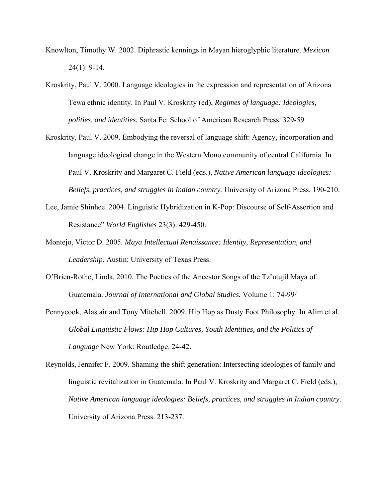- Knowlton, Timothy W. 2002. Diphrastic kennings in Mayan hieroglyphic literature. *Mexicon* 24(1): 9-14.
- Kroskrity, Paul V. 2000. Language ideologies in the expression and representation of Arizona Tewa ethnic identity. In Paul V. Kroskrity (ed), *Regimes of language: Ideologies, polities, and identities.* Santa Fe: School of American Research Press. 329-59
- Kroskrity, Paul V. 2009. Embodying the reversal of language shift: Agency, incorporation and language ideological change in the Western Mono community of central California. In Paul V. Kroskrity and Margaret C. Field (eds.), *Native American language ideologies: Beliefs, practices, and struggles in Indian country.* University of Arizona Press. 190-210.
- Lee, Jamie Shinhee. 2004. Linguistic Hybridization in K-Pop: Discourse of Self-Assertion and Resistance" *World Englishes* 23(3): 429-450.
- Montejo, Victor D. 2005. *Maya Intellectual Renaissance: Identity, Representation, and Leadership.* Austin: University of Texas Press.
- O'Brien-Rothe, Linda. 2010. The Poetics of the Ancestor Songs of the Tz'utujil Maya of Guatemala. *Journal of International and Global Studies.* Volume 1: 74-99/
- Pennycook, Alastair and Tony Mitchell. 2009. Hip Hop as Dusty Foot Philosophy. In Alim et al. *Global Linguistic Flows: Hip Hop Cultures, Youth Identities, and the Politics of Language* New York: Routledge. 24-42.
- Reynolds, Jennifer F. 2009. Shaming the shift generation: Intersecting ideologies of family and linguistic revitalization in Guatemala. In Paul V. Kroskrity and Margaret C. Field (eds.), *Native American language ideologies: Beliefs, practices, and struggles in Indian country.*  University of Arizona Press. 213-237.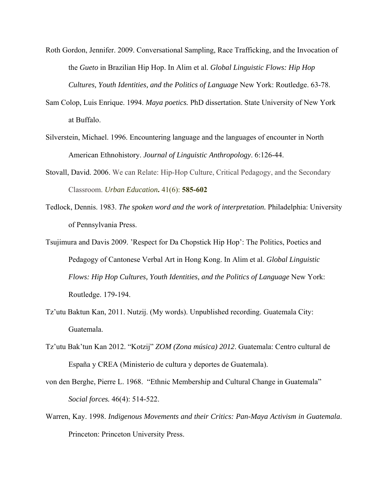- Roth Gordon, Jennifer. 2009. Conversational Sampling, Race Trafficking, and the Invocation of the *Gueto* in Brazilian Hip Hop. In Alim et al. *Global Linguistic Flows: Hip Hop Cultures, Youth Identities, and the Politics of Language* New York: Routledge. 63-78.
- Sam Colop, Luis Enrique. 1994. *Maya poetics.* PhD dissertation. State University of New York at Buffalo.
- Silverstein, Michael. 1996. Encountering language and the languages of encounter in North American Ethnohistory. *Journal of Linguistic Anthropology*. 6:126-44.
- Stovall, David. 2006. We can Relate: Hip-Hop Culture, Critical Pedagogy, and the Secondary Classroom. *Urban Education***.** 41(6): **585-602**
- Tedlock, Dennis. 1983. *The spoken word and the work of interpretation.* Philadelphia: University of Pennsylvania Press.
- Tsujimura and Davis 2009. 'Respect for Da Chopstick Hip Hop': The Politics, Poetics and Pedagogy of Cantonese Verbal Art in Hong Kong. In Alim et al. *Global Linguistic Flows: Hip Hop Cultures, Youth Identities, and the Politics of Language* New York: Routledge. 179-194.
- Tz'utu Baktun Kan, 2011. Nutzij. (My words). Unpublished recording. Guatemala City: Guatemala.
- Tz'utu Bak'tun Kan 2012. "Kotzij" *ZOM (Zona música) 2012*. Guatemala: Centro cultural de España y CREA (Ministerio de cultura y deportes de Guatemala).
- von den Berghe, Pierre L. 1968. "Ethnic Membership and Cultural Change in Guatemala" *Social forces.* 46(4): 514-522.
- Warren, Kay. 1998. *Indigenous Movements and their Critics: Pan-Maya Activism in Guatemala*. Princeton: Princeton University Press.